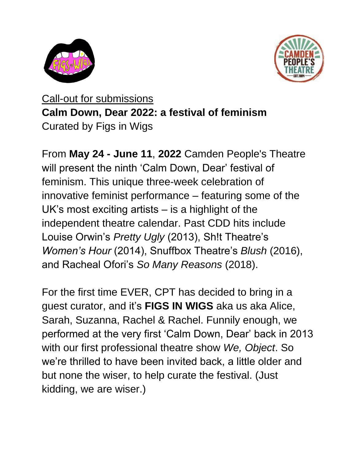



Call-out for submissions **Calm Down, Dear 2022: a festival of feminism** Curated by Figs in Wigs

From **May 24 - June 11**, **2022** Camden People's Theatre will present the ninth 'Calm Down, Dear' festival of feminism. This unique three-week celebration of innovative feminist performance – featuring some of the UK's most exciting artists – is a highlight of the independent theatre calendar. Past CDD hits include Louise Orwin's *Pretty Ugly* (2013), Sh!t Theatre's *Women's Hour* (2014), Snuffbox Theatre's *Blush* (2016), and Racheal Ofori's *So Many Reasons* (2018).

For the first time EVER, CPT has decided to bring in a guest curator, and it's **FIGS IN WIGS** aka us aka Alice, Sarah, Suzanna, Rachel & Rachel. Funnily enough, we performed at the very first 'Calm Down, Dear' back in 2013 with our first professional theatre show *We, Object*. So we're thrilled to have been invited back, a little older and but none the wiser, to help curate the festival. (Just kidding, we are wiser.)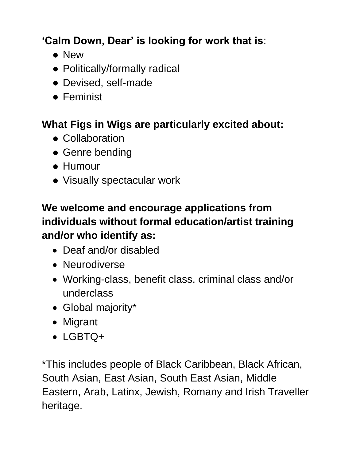## **'Calm Down, Dear' is looking for work that is**:

- New
- Politically/formally radical
- Devised, self-made
- Feminist

## **What Figs in Wigs are particularly excited about:**

- Collaboration
- Genre bending
- Humour
- Visually spectacular work

## **We welcome and encourage applications from individuals without formal education/artist training and/or who identify as:**

- Deaf and/or disabled
- Neurodiverse
- Working-class, benefit class, criminal class and/or underclass
- Global majority\*
- Migrant
- LGBTQ+

\*This includes people of Black Caribbean, Black African, South Asian, East Asian, South East Asian, Middle Eastern, Arab, Latinx, Jewish, Romany and Irish Traveller heritage.